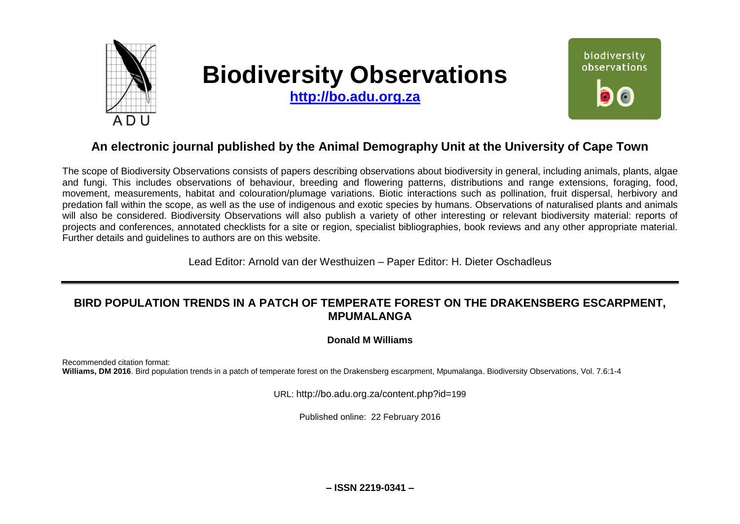

# **Biodiversity Observations**

**[http://bo.adu.org.za](http://bo.adu.org.za/)**



## **An electronic journal published by the Animal Demography Unit at the University of Cape Town**

The scope of Biodiversity Observations consists of papers describing observations about biodiversity in general, including animals, plants, algae and fungi. This includes observations of behaviour, breeding and flowering patterns, distributions and range extensions, foraging, food, movement, measurements, habitat and colouration/plumage variations. Biotic interactions such as pollination, fruit dispersal, herbivory and predation fall within the scope, as well as the use of indigenous and exotic species by humans. Observations of naturalised plants and animals will also be considered. Biodiversity Observations will also publish a variety of other interesting or relevant biodiversity material: reports of projects and conferences, annotated checklists for a site or region, specialist bibliographies, book reviews and any other appropriate material. Further details and guidelines to authors are on this website.

Lead Editor: Arnold van der Westhuizen – Paper Editor: H. Dieter Oschadleus

## **BIRD POPULATION TRENDS IN A PATCH OF TEMPERATE FOREST ON THE DRAKENSBERG ESCARPMENT, MPUMALANGA**

**Donald M Williams**

Recommended citation format: **Williams, DM 2016**. Bird population trends in a patch of temperate forest on the Drakensberg escarpment, Mpumalanga. Biodiversity Observations, Vol. 7.6:1-4

URL: http://bo.adu.org.za/content.php?id=199

Published online: 22 February 2016

**– ISSN 2219-0341 –**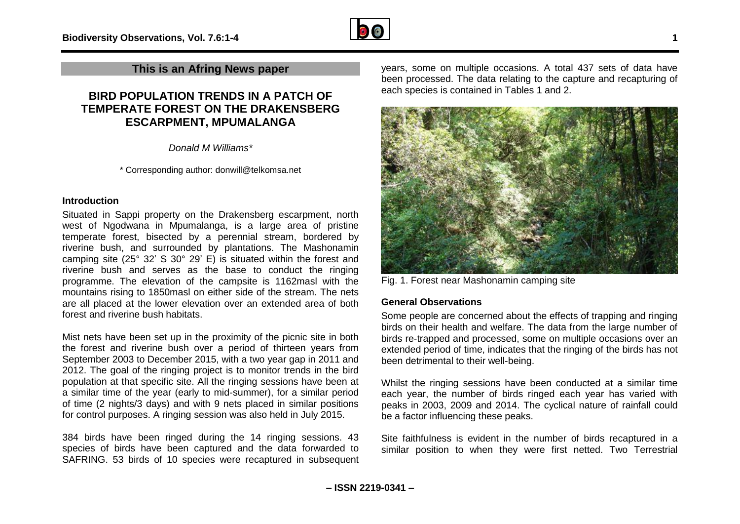

### **This is an Afring News paper**

## **BIRD POPULATION TRENDS IN A PATCH OF TEMPERATE FOREST ON THE DRAKENSBERG ESCARPMENT, MPUMALANGA**

*Donald M Williams\**

\* Corresponding author: donwill@telkomsa.net

#### **Introduction**

Situated in Sappi property on the Drakensberg escarpment, north west of Ngodwana in Mpumalanga, is a large area of pristine temperate forest, bisected by a perennial stream, bordered by riverine bush, and surrounded by plantations. The Mashonamin camping site (25° 32' S 30° 29' E) is situated within the forest and riverine bush and serves as the base to conduct the ringing programme. The elevation of the campsite is 1162masl with the mountains rising to 1850masl on either side of the stream. The nets are all placed at the lower elevation over an extended area of both forest and riverine bush habitats.

Mist nets have been set up in the proximity of the picnic site in both the forest and riverine bush over a period of thirteen years from September 2003 to December 2015, with a two year gap in 2011 and 2012. The goal of the ringing project is to monitor trends in the bird population at that specific site. All the ringing sessions have been at a similar time of the year (early to mid-summer), for a similar period of time (2 nights/3 days) and with 9 nets placed in similar positions for control purposes. A ringing session was also held in July 2015.

384 birds have been ringed during the 14 ringing sessions. 43 species of birds have been captured and the data forwarded to SAFRING. 53 birds of 10 species were recaptured in subsequent years, some on multiple occasions. A total 437 sets of data have been processed. The data relating to the capture and recapturing of each species is contained in Tables 1 and 2.



Fig. 1. Forest near Mashonamin camping site

#### **General Observations**

Some people are concerned about the effects of trapping and ringing birds on their health and welfare. The data from the large number of birds re-trapped and processed, some on multiple occasions over an extended period of time, indicates that the ringing of the birds has not been detrimental to their well-being.

Whilst the ringing sessions have been conducted at a similar time each year, the number of birds ringed each year has varied with peaks in 2003, 2009 and 2014. The cyclical nature of rainfall could be a factor influencing these peaks.

Site faithfulness is evident in the number of birds recaptured in a similar position to when they were first netted. Two Terrestrial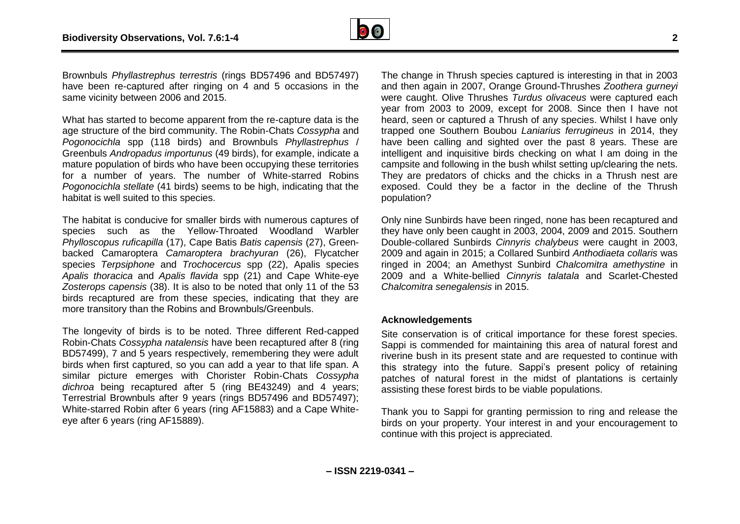

Brownbuls *Phyllastrephus terrestris* (rings BD57496 and BD57497) have been re-captured after ringing on 4 and 5 occasions in the same vicinity between 2006 and 2015.

What has started to become apparent from the re-capture data is the age structure of the bird community. The Robin-Chats *Cossypha* and *Pogonocichla* spp (118 birds) and Brownbuls *Phyllastrephus* / Greenbuls *Andropadus importunus* (49 birds), for example, indicate a mature population of birds who have been occupying these territories for a number of years. The number of White-starred Robins *Pogonocichla stellate* (41 birds) seems to be high, indicating that the habitat is well suited to this species.

The habitat is conducive for smaller birds with numerous captures of species such as the Yellow-Throated Woodland Warbler *Phylloscopus ruficapilla* (17), Cape Batis *Batis capensis* (27), Greenbacked Camaroptera *Camaroptera brachyuran* (26), Flycatcher species *Terpsiphone* and *Trochocercus* spp (22), Apalis species *Apalis thoracica* and *Apalis flavida* spp (21) and Cape White-eye *Zosterops capensis* (38). It is also to be noted that only 11 of the 53 birds recaptured are from these species, indicating that they are more transitory than the Robins and Brownbuls/Greenbuls.

The longevity of birds is to be noted. Three different Red-capped Robin-Chats *Cossypha natalensis* have been recaptured after 8 (ring BD57499), 7 and 5 years respectively, remembering they were adult birds when first captured, so you can add a year to that life span. A similar picture emerges with Chorister Robin-Chats *Cossypha dichroa* being recaptured after 5 (ring BE43249) and 4 years; Terrestrial Brownbuls after 9 years (rings BD57496 and BD57497); White-starred Robin after 6 years (ring AF15883) and a Cape Whiteeye after 6 years (ring AF15889).

The change in Thrush species captured is interesting in that in 2003 and then again in 2007, Orange Ground-Thrushes *Zoothera gurneyi* were caught. Olive Thrushes *Turdus olivaceus* were captured each year from 2003 to 2009, except for 2008. Since then I have not heard, seen or captured a Thrush of any species. Whilst I have only trapped one Southern Boubou *Laniarius ferrugineus* in 2014, they have been calling and sighted over the past 8 years. These are intelligent and inquisitive birds checking on what I am doing in the campsite and following in the bush whilst setting up/clearing the nets. They are predators of chicks and the chicks in a Thrush nest are exposed. Could they be a factor in the decline of the Thrush population?

Only nine Sunbirds have been ringed, none has been recaptured and they have only been caught in 2003, 2004, 2009 and 2015. Southern Double-collared Sunbirds *Cinnyris chalybeus* were caught in 2003, 2009 and again in 2015; a Collared Sunbird *Anthodiaeta collaris* was ringed in 2004; an Amethyst Sunbird *Chalcomitra amethystine* in 2009 and a White-bellied *Cinnyris talatala* and Scarlet-Chested *Chalcomitra senegalensis* in 2015.

#### **Acknowledgements**

Site conservation is of critical importance for these forest species. Sappi is commended for maintaining this area of natural forest and riverine bush in its present state and are requested to continue with this strategy into the future. Sappi's present policy of retaining patches of natural forest in the midst of plantations is certainly assisting these forest birds to be viable populations.

Thank you to Sappi for granting permission to ring and release the birds on your property. Your interest in and your encouragement to continue with this project is appreciated.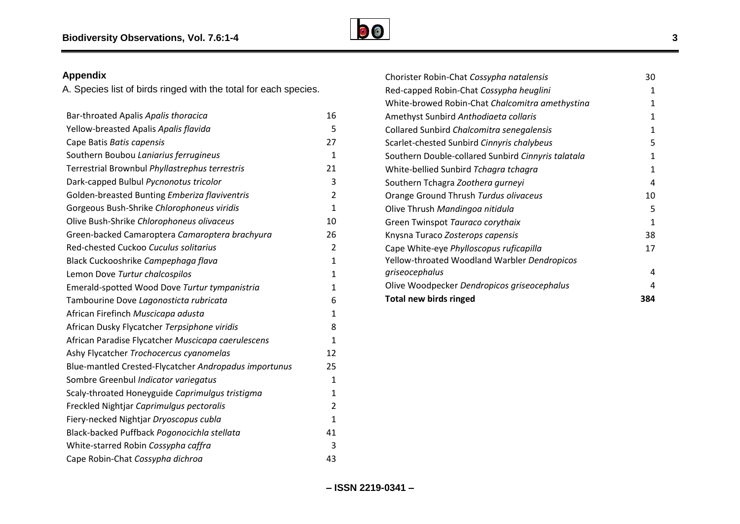

## **Appendix**

A. Species list of birds ringed with the total for each species.

| Bar-throated Apalis Apalis thoracica                  | 16             |
|-------------------------------------------------------|----------------|
| Yellow-breasted Apalis Apalis flavida                 | 5              |
| Cape Batis Batis capensis                             | 27             |
| Southern Boubou Laniarius ferrugineus                 | $\mathbf{1}$   |
| Terrestrial Brownbul Phyllastrephus terrestris        | 21             |
| Dark-capped Bulbul Pycnonotus tricolor                | 3              |
| Golden-breasted Bunting Emberiza flaviventris         | $\overline{2}$ |
| Gorgeous Bush-Shrike Chlorophoneus viridis            | $\mathbf{1}$   |
| Olive Bush-Shrike Chlorophoneus olivaceus             | 10             |
| Green-backed Camaroptera Camaroptera brachyura        | 26             |
| Red-chested Cuckoo Cuculus solitarius                 | $\overline{2}$ |
| Black Cuckooshrike Campephaga flava                   | $\mathbf{1}$   |
| Lemon Dove Turtur chalcospilos                        | $\mathbf{1}$   |
| Emerald-spotted Wood Dove Turtur tympanistria         | 1              |
| Tambourine Dove Lagonosticta rubricata                | 6              |
| African Firefinch Muscicapa adusta                    | $\mathbf{1}$   |
| African Dusky Flycatcher Terpsiphone viridis          | 8              |
| African Paradise Flycatcher Muscicapa caerulescens    | $\mathbf{1}$   |
| Ashy Flycatcher Trochocercus cyanomelas               | 12             |
| Blue-mantled Crested-Flycatcher Andropadus importunus | 25             |
| Sombre Greenbul Indicator variegatus                  | $\mathbf{1}$   |
| Scaly-throated Honeyguide Caprimulgus tristigma       | $\mathbf{1}$   |
| Freckled Nightjar Caprimulgus pectoralis              | 2              |
| Fiery-necked Nightjar Dryoscopus cubla                | $\mathbf{1}$   |
| Black-backed Puffback Pogonocichla stellata           | 41             |
| White-starred Robin Cossypha caffra                   | 3              |
| Cape Robin-Chat Cossypha dichroa                      | 43             |

| Chorister Robin-Chat Cossypha natalensis           | 30  |
|----------------------------------------------------|-----|
| Red-capped Robin-Chat Cossypha heuglini            | 1   |
| White-browed Robin-Chat Chalcomitra amethystina    | 1   |
| Amethyst Sunbird Anthodiaeta collaris              | 1   |
| Collared Sunbird Chalcomitra senegalensis          | 1   |
| Scarlet-chested Sunbird Cinnyris chalybeus         | 5   |
| Southern Double-collared Sunbird Cinnyris talatala | 1   |
| White-bellied Sunbird Tchagra tchagra              | 1   |
| Southern Tchagra Zoothera gurneyi                  | 4   |
| Orange Ground Thrush Turdus olivaceus              | 10  |
| Olive Thrush Mandingoa nitidula                    | 5   |
| Green Twinspot Tauraco corythaix                   | 1   |
| Knysna Turaco Zosterops capensis                   | 38  |
| Cape White-eye Phylloscopus ruficapilla            | 17  |
| Yellow-throated Woodland Warbler Dendropicos       |     |
| griseocephalus                                     | 4   |
| Olive Woodpecker Dendropicos griseocephalus        | 4   |
| <b>Total new birds ringed</b>                      | 384 |